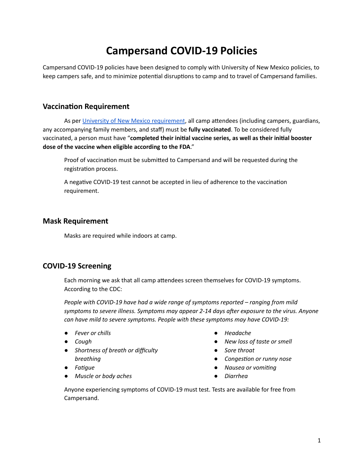# **Campersand COVID-19 Policies**

Campersand COVID-19 policies have been designed to comply with University of New Mexico policies, to keep campers safe, and to minimize potential disruptions to camp and to travel of Campersand families.

#### **Vaccination Requirement**

As per University of New Mexico [requirement](https://bringbackthepack.unm.edu/protecting-the-pack/vaccination-testing-and-masking-requirements.html), all camp attendees (including campers, guardians, any accompanying family members, and staff) must be **fully vaccinated**. To be considered fully vaccinated, a person must have "**completed their inial vaccine series, as well as their inial booster dose of the vaccine when eligible according to the FDA**."

Proof of vaccination must be submitted to Campersand and will be requested during the registration process.

A negative COVID-19 test cannot be accepted in lieu of adherence to the vaccination requirement.

#### **Mask Requirement**

Masks are required while indoors at camp.

### **COVID-19 Screening**

Each morning we ask that all camp attendees screen themselves for COVID-19 symptoms. According to the CDC:

*People with COVID-19 have had a wide range of symptoms reported – ranging from mild symptoms to severe illness. Symptoms may appear 2-14 days aer exposure to the virus. Anyone can have mild to severe symptoms. People with these symptoms may have COVID-19:*

- *● Fever or chills*
- *● Cough*
- *● Shortness of breath or difficulty breathing*
- *● Fague*
- *● Muscle or body aches*
- *● Headache*
- *● New loss of taste or smell*
- *● Sore throat*
- *Congestion or runny nose*
- *● Nausea or voming*
- *● Diarrhea*

Anyone experiencing symptoms of COVID-19 must test. Tests are available for free from Campersand.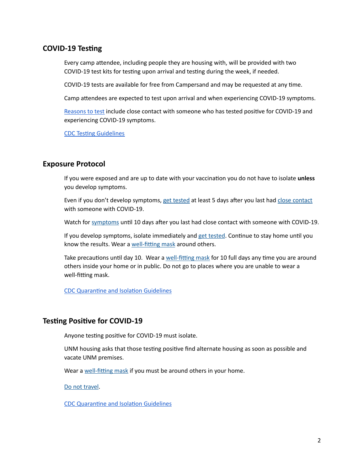## **COVID-19 Testing**

Every camp attendee, including people they are housing with, will be provided with two COVID-19 test kits for testing upon arrival and testing during the week, if needed.

COVID-19 tests are available for free from Campersand and may be requested at any time.

Camp attendees are expected to test upon arrival and when experiencing COVID-19 symptoms.

[Reasons](https://www.cdc.gov/coronavirus/2019-ncov/testing/self-testing.html) to test include close contact with someone who has tested positive for COVID-19 and experiencing COVID-19 symptoms.

**CDC Testing [Guidelines](https://www.cdc.gov/coronavirus/2019-ncov/symptoms-testing/pdf/COVID-Testing-Flowchart_V3_Links.pdf)** 

### **Exposure Protocol**

If you were exposed and are up to date with your vaccination you do not have to isolate **unless** you develop symptoms.

Even if you don't develop symptoms, get [tested](https://www.cdc.gov/coronavirus/2019-ncov/testing/diagnostic-testing.html) at least 5 days after you last had close [contact](https://www.cdc.gov/coronavirus/2019-ncov/daily-life-coping/determine-close-contacts.html) with someone with COVID-19.

Watch for [symptoms](https://www.cdc.gov/coronavirus/2019-ncov/symptoms-testing/symptoms.html) until 10 days after you last had close contact with someone with COVID-19.

If you develop symptoms, isolate immediately and get [tested.](https://www.cdc.gov/coronavirus/2019-ncov/testing/diagnostic-testing.html) Continue to stay home until you know the results. Wear a well-fitting mask around others.

Take precautions until day 10. Wear a well-fitting mask for 10 full days any time you are around others inside your home or in public. Do not go to places where you are unable to wear a well-fitting mask.

CDC Quarantine and Isolation Guidelines

### **Testing Positive for COVID-19**

Anyone testing positive for COVID-19 must isolate.

UNM housing asks that those testing positive find alternate housing as soon as possible and vacate UNM premises.

Wear a well-fitting mask if you must be around others in your home.

Do not [travel](https://www.cdc.gov/coronavirus/2019-ncov/travelers/index.html#do-not-travel).

CDC Quarantine and Isolation Guidelines